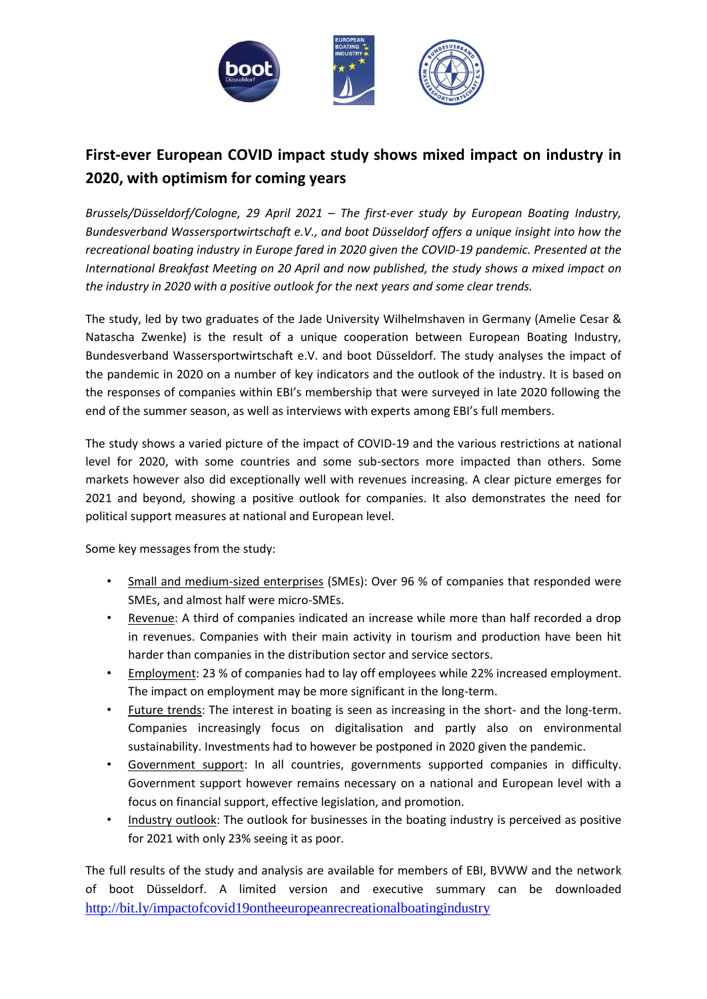

## **First-ever European COVID impact study shows mixed impact on industry in 2020, with optimism for coming years**

*Brussels/Düsseldorf/Cologne, 29 April 2021 – The first-ever study by European Boating Industry, Bundesverband Wassersportwirtschaft e.V., and boot Düsseldorf offers a unique insight into how the recreational boating industry in Europe fared in 2020 given the COVID-19 pandemic. Presented at the International Breakfast Meeting on 20 April and now published, the study shows a mixed impact on the industry in 2020 with a positive outlook for the next years and some clear trends.*

The study, led by two graduates of the Jade University Wilhelmshaven in Germany (Amelie Cesar & Natascha Zwenke) is the result of a unique cooperation between European Boating Industry, Bundesverband Wassersportwirtschaft e.V. and boot Düsseldorf. The study analyses the impact of the pandemic in 2020 on a number of key indicators and the outlook of the industry. It is based on the responses of companies within EBI's membership that were surveyed in late 2020 following the end of the summer season, as well as interviews with experts among EBI's full members.

The study shows a varied picture of the impact of COVID-19 and the various restrictions at national level for 2020, with some countries and some sub-sectors more impacted than others. Some markets however also did exceptionally well with revenues increasing. A clear picture emerges for 2021 and beyond, showing a positive outlook for companies. It also demonstrates the need for political support measures at national and European level.

Some key messages from the study:

- Small and medium-sized enterprises (SMEs): Over 96 % of companies that responded were SMEs, and almost half were micro-SMEs.
- Revenue: A third of companies indicated an increase while more than half recorded a drop in revenues. Companies with their main activity in tourism and production have been hit harder than companies in the distribution sector and service sectors.
- Employment: 23 % of companies had to lay off employees while 22% increased employment. The impact on employment may be more significant in the long-term.
- Future trends: The interest in boating is seen as increasing in the short- and the long-term. Companies increasingly focus on digitalisation and partly also on environmental sustainability. Investments had to however be postponed in 2020 given the pandemic.
- Government support: In all countries, governments supported companies in difficulty. Government support however remains necessary on a national and European level with a focus on financial support, effective legislation, and promotion.
- Industry outlook: The outlook for businesses in the boating industry is perceived as positive for 2021 with only 23% seeing it as poor.

The full results of the study and analysis are available for members of EBI, BVWW and the network of boot Düsseldorf. A limited version and executive summary can be downloaded <http://bit.ly/impactofcovid19ontheeuropeanrecreationalboatingindustry>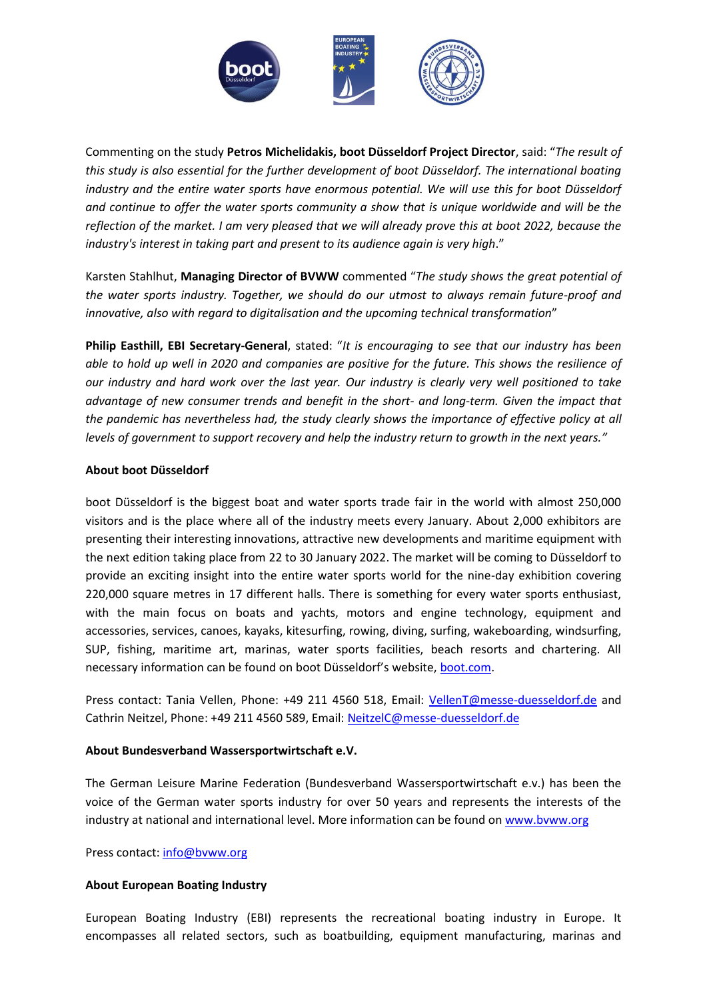

Commenting on the study **Petros Michelidakis, boot Düsseldorf Project Director**, said: "*The result of this study is also essential for the further development of boot Düsseldorf. The international boating industry and the entire water sports have enormous potential. We will use this for boot Düsseldorf and continue to offer the water sports community a show that is unique worldwide and will be the reflection of the market. I am very pleased that we will already prove this at boot 2022, because the industry's interest in taking part and present to its audience again is very high*."

Karsten Stahlhut, **Managing Director of BVWW** commented "*The study shows the great potential of the water sports industry. Together, we should do our utmost to always remain future-proof and innovative, also with regard to digitalisation and the upcoming technical transformation*"

**Philip Easthill, EBI Secretary-General**, stated: "*It is encouraging to see that our industry has been able to hold up well in 2020 and companies are positive for the future. This shows the resilience of our industry and hard work over the last year. Our industry is clearly very well positioned to take advantage of new consumer trends and benefit in the short- and long-term. Given the impact that the pandemic has nevertheless had, the study clearly shows the importance of effective policy at all levels of government to support recovery and help the industry return to growth in the next years."*

## **About boot Düsseldorf**

boot Düsseldorf is the biggest boat and water sports trade fair in the world with almost 250,000 visitors and is the place where all of the industry meets every January. About 2,000 exhibitors are presenting their interesting innovations, attractive new developments and maritime equipment with the next edition taking place from 22 to 30 January 2022. The market will be coming to Düsseldorf to provide an exciting insight into the entire water sports world for the nine-day exhibition covering 220,000 square metres in 17 different halls. There is something for every water sports enthusiast, with the main focus on boats and yachts, motors and engine technology, equipment and accessories, services, canoes, kayaks, kitesurfing, rowing, diving, surfing, wakeboarding, windsurfing, SUP, fishing, maritime art, marinas, water sports facilities, beach resorts and chartering. All necessary information can be found on boot Düsseldorf's website, [boot.com.](https://www.boot.com/)

Press contact: Tania Vellen, Phone: +49 211 4560 518, Email: [VellenT@messe-duesseldorf.de](mailto:VellenT@messe-duesseldorf.de) and Cathrin Neitzel, Phone: +49 211 4560 589, Email[: NeitzelC@messe-duesseldorf.de](mailto:NeitzelC@messe-duesseldorf.de)

## **About Bundesverband Wassersportwirtschaft e.V.**

The German Leisure Marine Federation (Bundesverband Wassersportwirtschaft e.v.) has been the voice of the German water sports industry for over 50 years and represents the interests of the industry at national and international level. More information can be found o[n www.bvww.org](http://www.bvww.org/)

Press contact: [info@bvww.org](mailto:info@bvww.org)

## **About European Boating Industry**

European Boating Industry (EBI) represents the recreational boating industry in Europe. It encompasses all related sectors, such as boatbuilding, equipment manufacturing, marinas and